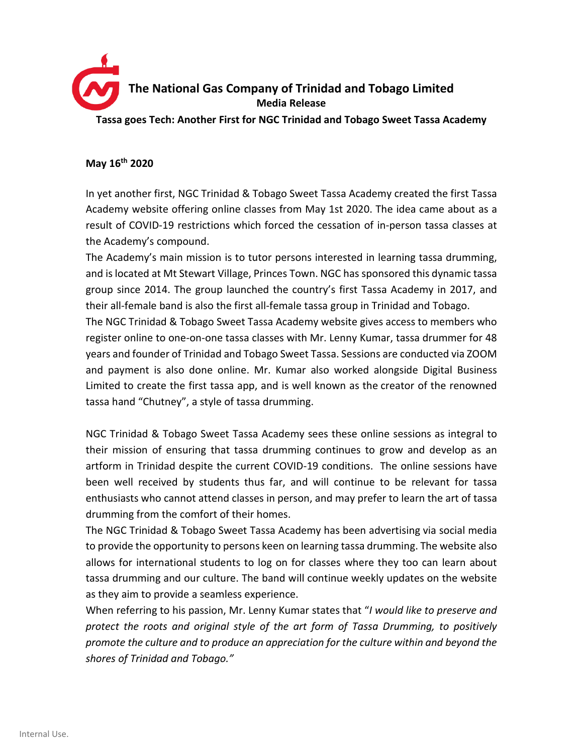

## **May 16th 2020**

In yet another first, NGC Trinidad & Tobago Sweet Tassa Academy created the first Tassa Academy website offering online classes from May 1st 2020. The idea came about as a result of COVID-19 restrictions which forced the cessation of in-person tassa classes at the Academy's compound.

The Academy's main mission is to tutor persons interested in learning tassa drumming, and is located at Mt Stewart Village, Princes Town. NGC has sponsored this dynamic tassa group since 2014. The group launched the country's first Tassa Academy in 2017, and their all-female band is also the first all-female tassa group in Trinidad and Tobago.

The NGC Trinidad & Tobago Sweet Tassa Academy website gives access to members who register online to one-on-one tassa classes with Mr. Lenny Kumar, tassa drummer for 48 years and founder of Trinidad and Tobago Sweet Tassa. Sessions are conducted via ZOOM and payment is also done online. Mr. Kumar also worked alongside Digital Business Limited to create the first tassa app, and is well known as the creator of the renowned tassa hand "Chutney", a style of tassa drumming.

NGC Trinidad & Tobago Sweet Tassa Academy sees these online sessions as integral to their mission of ensuring that tassa drumming continues to grow and develop as an artform in Trinidad despite the current COVID-19 conditions. The online sessions have been well received by students thus far, and will continue to be relevant for tassa enthusiasts who cannot attend classes in person, and may prefer to learn the art of tassa drumming from the comfort of their homes.

The NGC Trinidad & Tobago Sweet Tassa Academy has been advertising via social media to provide the opportunity to persons keen on learning tassa drumming. The website also allows for international students to log on for classes where they too can learn about tassa drumming and our culture. The band will continue weekly updates on the website as they aim to provide a seamless experience.

When referring to his passion, Mr. Lenny Kumar states that "*I would like to preserve and protect the roots and original style of the art form of Tassa Drumming, to positively promote the culture and to produce an appreciation for the culture within and beyond the shores of Trinidad and Tobago."*